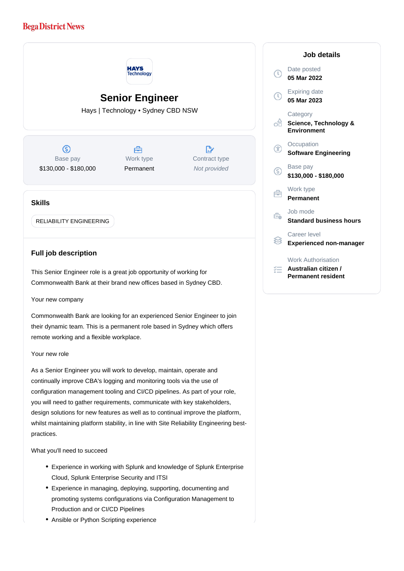## **Bega District News**



Your new company

Commonwealth Bank are looking for an experienced Senior Engineer to join their dynamic team. This is a permanent role based in Sydney which offers remote working and a flexible workplace.

## Your new role

As a Senior Engineer you will work to develop, maintain, operate and continually improve CBA's logging and monitoring tools via the use of configuration management tooling and CI/CD pipelines. As part of your role, you will need to gather requirements, communicate with key stakeholders, design solutions for new features as well as to continual improve the platform, whilst maintaining platform stability, in line with Site Reliability Engineering bestpractices.

What you'll need to succeed

- Experience in working with Splunk and knowledge of Splunk Enterprise Cloud, Splunk Enterprise Security and ITSI
- Experience in managing, deploying, supporting, documenting and promoting systems configurations via Configuration Management to Production and or CI/CD Pipelines
- Ansible or Python Scripting experience

|              | Job details                                                             |
|--------------|-------------------------------------------------------------------------|
| $\mathbb{C}$ | Date posted<br>05 Mar 2022                                              |
|              | <b>Expiring date</b><br>05 Mar 2023                                     |
| ۰Ĥ           | Category<br>Science, Technology &<br><b>Environment</b>                 |
| Æ            | Occupation<br><b>Software Engineering</b>                               |
| S            | Base pay<br>\$130,000 - \$180,000                                       |
|              | Work type<br><b>Permanent</b>                                           |
| ₹ò           | Job mode<br><b>Standard business hours</b>                              |
|              | Career level<br><b>Experienced non-manager</b>                          |
|              | <b>Work Authorisation</b><br>Australian citizen /<br>Permanent resident |